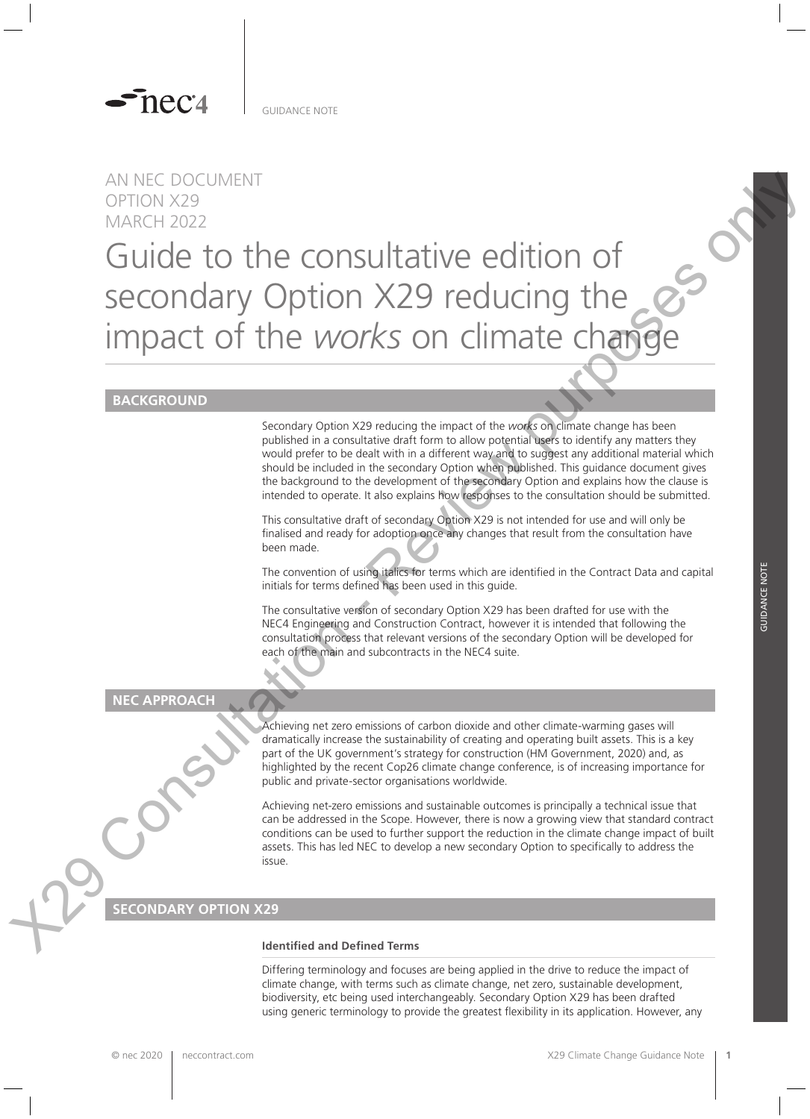

GUIDANCE NOTE

# AN NEC DOCUMENT OPTION X29 MARCH 2022

# Guide to the consultative edition of secondary Option X29 reducing the impact of the *works* on climate change AN NEC DOCUMENT<br>
CONSULTATIVE OF the CONSULTATIVE edition of<br>
Secondary Option X29 reducing the<br>
impact of the *WOR's* on climate change<br>
impact of the *WOR's* on climate change<br>
interaction of<br>
consumption of the consult

# **BACKGROUND**

Secondary Option X29 reducing the impact of the *works* on climate change has been published in a consultative draft form to allow potential users to identify any matters they would prefer to be dealt with in a different way and to suggest any additional material which should be included in the secondary Option when published. This guidance document gives the background to the development of the secondary Option and explains how the clause is intended to operate. It also explains how responses to the consultation should be submitted.

This consultative draft of secondary Option X29 is not intended for use and will only be finalised and ready for adoption once any changes that result from the consultation have been made.

The convention of using italics for terms which are identified in the Contract Data and capital initials for terms defined has been used in this guide.

The consultative version of secondary Option X29 has been drafted for use with the NEC4 Engineering and Construction Contract, however it is intended that following the consultation process that relevant versions of the secondary Option will be developed for each of the main and subcontracts in the NEC4 suite.

**NEC APPROACH**

Achieving net zero emissions of carbon dioxide and other climate-warming gases will dramatically increase the sustainability of creating and operating built assets. This is a key part of the UK government's strategy for construction (HM Government, 2020) and, as highlighted by the recent Cop26 climate change conference, is of increasing importance for public and private-sector organisations worldwide.

Achieving net-zero emissions and sustainable outcomes is principally a technical issue that can be addressed in the Scope. However, there is now a growing view that standard contract conditions can be used to further support the reduction in the climate change impact of built assets. This has led NEC to develop a new secondary Option to specifically to address the issue.

# **SECONDARY OPTION**

### **Identified and Defined Terms**

Differing terminology and focuses are being applied in the drive to reduce the impact of climate change, with terms such as climate change, net zero, sustainable development, biodiversity, etc being used interchangeably. Secondary Option X29 has been drafted using generic terminology to provide the greatest flexibility in its application. However, any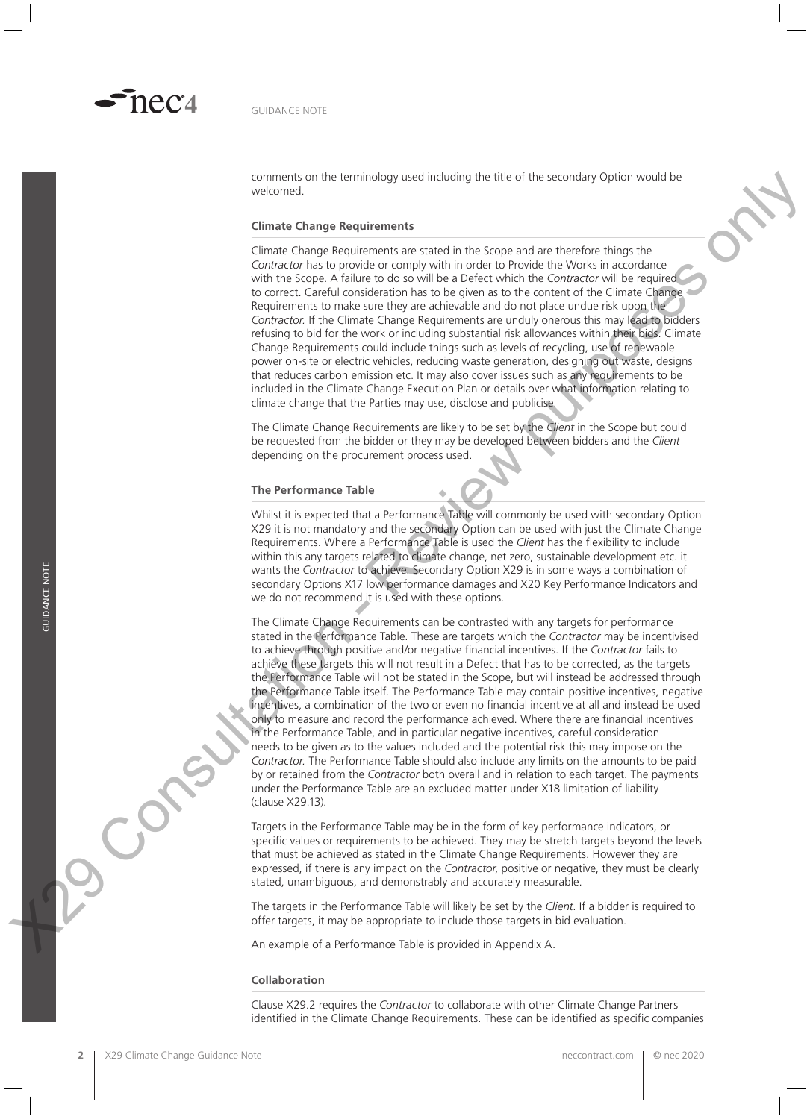comments on the terminology used including the title of the secondary Option would be welcomed.

### **Climate Change Requirements**

Climate Change Requirements are stated in the Scope and are therefore things the *Contractor* has to provide or comply with in order to Provide the Works in accordance with the Scope. A failure to do so will be a Defect which the *Contractor* will be required to correct. Careful consideration has to be given as to the content of the Climate Change Requirements to make sure they are achievable and do not place undue risk upon the *Contractor.* If the Climate Change Requirements are unduly onerous this may lead to bidders refusing to bid for the work or including substantial risk allowances within their bids. Climate Change Requirements could include things such as levels of recycling, use of renewable power on-site or electric vehicles, reducing waste generation, designing out waste, designs that reduces carbon emission etc. It may also cover issues such as any requirements to be included in the Climate Change Execution Plan or details over what information relating to climate change that the Parties may use, disclose and publicise.

The Climate Change Requirements are likely to be set by the *Client* in the Scope but could be requested from the bidder or they may be developed between bidders and the *Client* depending on the procurement process used.

### **The Performance Table**

Whilst it is expected that a Performance Table will commonly be used with secondary Option X29 it is not mandatory and the secondary Option can be used with just the Climate Change Requirements. Where a Performance Table is used the *Client* has the flexibility to include within this any targets related to climate change, net zero, sustainable development etc. it wants the *Contractor* to achieve. Secondary Option X29 is in some ways a combination of secondary Options X17 low performance damages and X20 Key Performance Indicators and we do not recommend it is used with these options.

The Climate Change Requirements can be contrasted with any targets for performance stated in the Performance Table. These are targets which the *Contractor* may be incentivised to achieve through positive and/or negative financial incentives. If the *Contractor* fails to achieve these targets this will not result in a Defect that has to be corrected, as the targets the Performance Table will not be stated in the Scope, but will instead be addressed through the Performance Table itself. The Performance Table may contain positive incentives, negative incentives, a combination of the two or even no financial incentive at all and instead be used only to measure and record the performance achieved. Where there are financial incentives in the Performance Table, and in particular negative incentives, careful consideration needs to be given as to the values included and the potential risk this may impose on the *Contractor.* The Performance Table should also include any limits on the amounts to be paid by or retained from the *Contractor* both overall and in relation to each target. The payments under the Performance Table are an excluded matter under X18 limitation of liability (clause X29.13). where the state of the state of the state of the state of the state of the state of the state of the state of the state of the state of the state of the state of the state of the state of the state of the state of the st

Targets in the Performance Table may be in the form of key performance indicators, or specific values or requirements to be achieved. They may be stretch targets beyond the levels that must be achieved as stated in the Climate Change Requirements. However they are expressed, if there is any impact on the *Contractor*, positive or negative, they must be clearly stated, unambiguous, and demonstrably and accurately measurable.

The targets in the Performance Table will likely be set by the *Client*. If a bidder is required to offer targets, it may be appropriate to include those targets in bid evaluation.

An example of a Performance Table is provided in Appendix A.

### **Collaboration**

Clause X29.2 requires the *Contractor* to collaborate with other Climate Change Partners identified in the Climate Change Requirements. These can be identified as specific companies

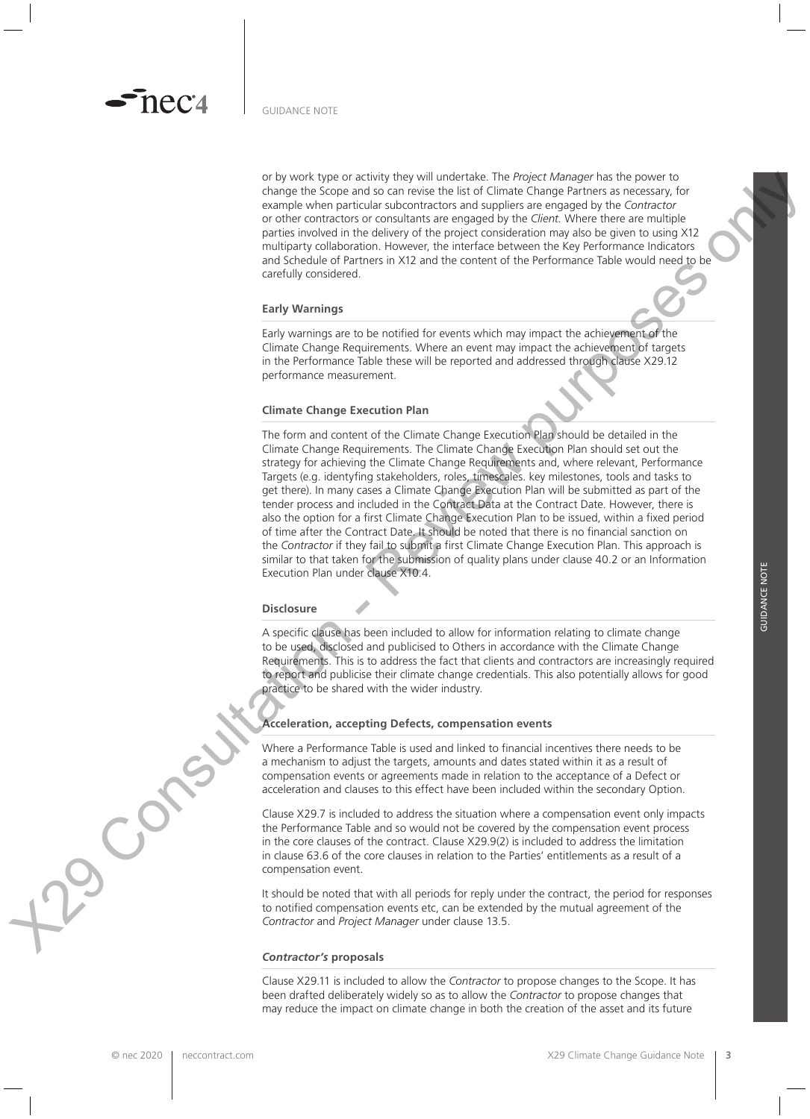or by work type or activity they will undertake. The *Project Manager* has the power to change the Scope and so can revise the list of Climate Change Partners as necessary, for example when particular subcontractors and suppliers are engaged by the *Contractor* or other contractors or consultants are engaged by the *Client.* Where there are multiple parties involved in the delivery of the project consideration may also be given to using X12 multiparty collaboration. However, the interface between the Key Performance Indicators and Schedule of Partners in X12 and the content of the Performance Table would need to be carefully considered.

### **Early Warnings**

Early warnings are to be notified for events which may impact the achievement of the Climate Change Requirements. Where an event may impact the achievement of targets in the Performance Table these will be reported and addressed through clause X29.12 performance measurement.

### **Climate Change Execution Plan**

The form and content of the Climate Change Execution Plan should be detailed in the Climate Change Requirements. The Climate Change Execution Plan should set out the strategy for achieving the Climate Change Requirements and, where relevant, Performance Targets (e.g. identyfing stakeholders, roles, timescales. key milestones, tools and tasks to get there). In many cases a Climate Change Execution Plan will be submitted as part of the tender process and included in the Contract Data at the Contract Date. However, there is also the option for a first Climate Change Execution Plan to be issued, within a fixed period of time after the Contract Date. It should be noted that there is no financial sanction on the *Contractor* if they fail to submit a first Climate Change Execution Plan. This approach is similar to that taken for the submission of quality plans under clause 40.2 or an Information Execution Plan under clause X10.4. X29 Are a state of the interaction - Review Purpose is the Assessment in A decision - Review purposes on the interaction - Review purposes on the interaction - Review purposes on the interaction of the interaction of the

### **Disclosure**

A specific clause has been included to allow for information relating to climate change to be used, disclosed and publicised to Others in accordance with the Climate Change Requirements. This is to address the fact that clients and contractors are increasingly required to report and publicise their climate change credentials. This also potentially allows for good practice to be shared with the wider industry.

### **Acceleration, accepting Defects, compensation events**

Where a Performance Table is used and linked to financial incentives there needs to be a mechanism to adjust the targets, amounts and dates stated within it as a result of compensation events or agreements made in relation to the acceptance of a Defect or acceleration and clauses to this effect have been included within the secondary Option.

Clause X29.7 is included to address the situation where a compensation event only impacts the Performance Table and so would not be covered by the compensation event process in the core clauses of the contract. Clause X29.9(2) is included to address the limitation in clause 63.6 of the core clauses in relation to the Parties' entitlements as a result of a compensation event.

It should be noted that with all periods for reply under the contract, the period for responses to notified compensation events etc, can be extended by the mutual agreement of the *Contractor* and *Project Manager* under clause 13.5.

### *Contractor's* **proposals**

Clause X29.11 is included to allow the *Contractor* to propose changes to the Scope. It has been drafted deliberately widely so as to allow the *Contractor* to propose changes that may reduce the impact on climate change in both the creation of the asset and its future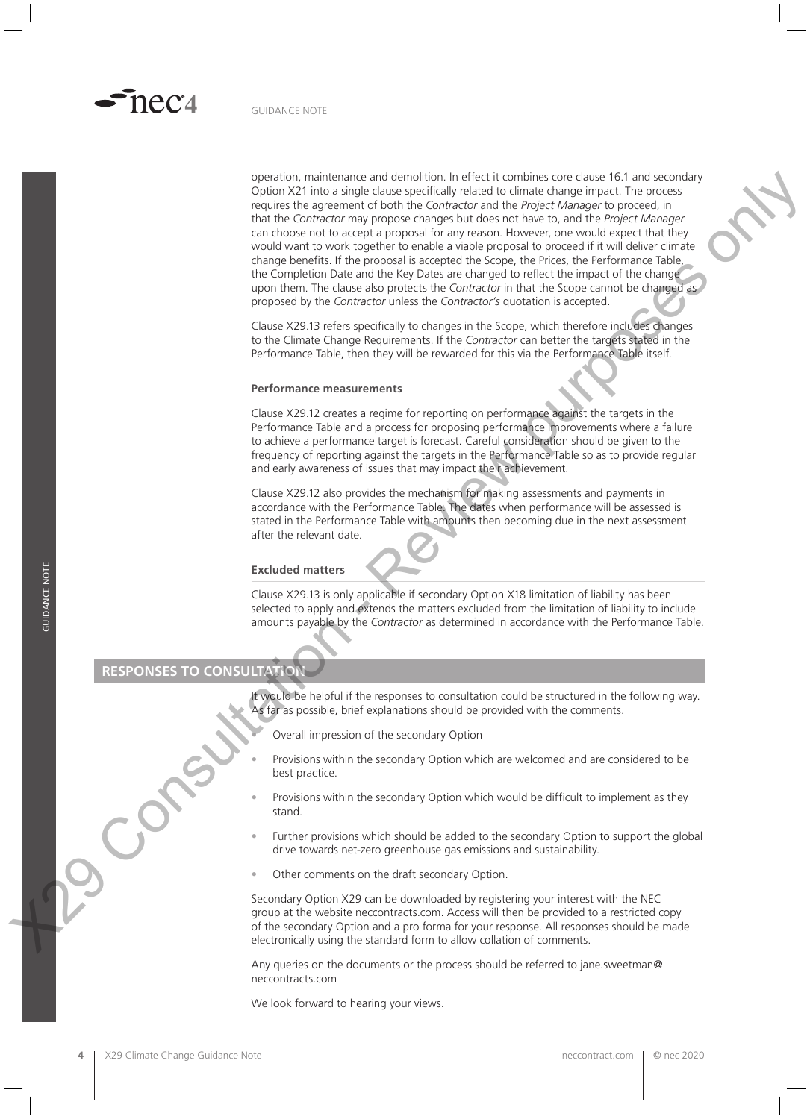operation, maintenance and demolition. In effect it combines core clause 16.1 and secondary Option X21 into a single clause specifically related to climate change impact. The process requires the agreement of both the *Contractor* and the *Project Manager* to proceed, in that the *Contractor* may propose changes but does not have to, and the *Project Manager*  can choose not to accept a proposal for any reason. However, one would expect that they would want to work together to enable a viable proposal to proceed if it will deliver climate change benefits. If the proposal is accepted the Scope, the Prices, the Performance Table, the Completion Date and the Key Dates are changed to reflect the impact of the change upon them. The clause also protects the *Contractor* in that the Scope cannot be changed as proposed by the *Contractor* unless the *Contractor's* quotation is accepted. Specified through the state of the visible of the Visible of the Visible of the state of the state of the state of the state of the state of the state of the state of the state of the state of the state of the state of th

Clause X29.13 refers specifically to changes in the Scope, which therefore includes changes to the Climate Change Requirements. If the *Contractor* can better the targets stated in the Performance Table, then they will be rewarded for this via the Performance Table itself.

### **Performance measurements**

Clause X29.12 creates a regime for reporting on performance against the targets in the Performance Table and a process for proposing performance improvements where a failure to achieve a performance target is forecast. Careful consideration should be given to the frequency of reporting against the targets in the Performance Table so as to provide regular and early awareness of issues that may impact their achievement.

Clause X29.12 also provides the mechanism for making assessments and payments in accordance with the Performance Table. The dates when performance will be assessed is stated in the Performance Table with amounts then becoming due in the next assessment after the relevant date.

### **Excluded matters**

Clause X29.13 is only applicable if secondary Option X18 limitation of liability has been selected to apply and extends the matters excluded from the limitation of liability to include amounts payable by the *Contractor* as determined in accordance with the Performance Table.

# **RESPONSES TO CONSULTATION**

It would be helpful if the responses to consultation could be structured in the following way. As far as possible, brief explanations should be provided with the comments.

- Overall impression of the secondary Option
- Provisions within the secondary Option which are welcomed and are considered to be best practice.
- Provisions within the secondary Option which would be difficult to implement as they stand.
- Further provisions which should be added to the secondary Option to support the global drive towards net-zero greenhouse gas emissions and sustainability.
- Other comments on the draft secondary Option.

Secondary Option X29 can be downloaded by registering your interest with the NEC group at the website neccontracts.com. Access will then be provided to a restricted copy of the secondary Option and a pro forma for your response. All responses should be made electronically using the standard form to allow collation of comments.

Any queries on the documents or the process should be referred to jane.sweetman@ neccontracts.com

We look forward to hearing your views.